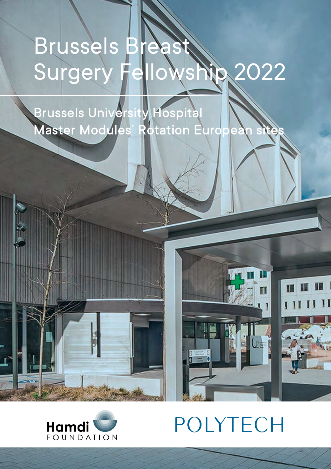# Brussels Brea Surgery Fellowship 2022

Brussels University Hospital Master Modules´ Rotation European sites



T

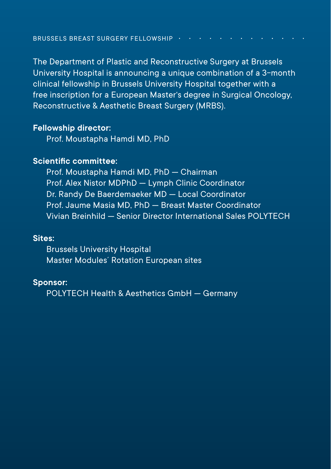The Department of Plastic and Reconstructive Surgery at Brussels University Hospital is announcing a unique combination of a 3-month clinical fellowship in Brussels University Hospital together with a free inscription for a European Master's degree in Surgical Oncology, Reconstructive & Aesthetic Breast Surgery (MRBS).

### **Fellowship director:**

Prof. Moustapha Hamdi MD, PhD

### **Scientific committee:**

Prof. Moustapha Hamdi MD, PhD — Chairman Prof. Alex Nistor MDPhD — Lymph Clinic Coordinator Dr. Randy De Baerdemaeker MD — Local Coordinator Prof. Jaume Masia MD, PhD — Breast Master Coordinator Vivian Breinhild — Senior Director International Sales POLYTECH

### **Sites:**

Brussels University Hospital Master Modules´ Rotation European sites

#### **Sponsor:**

POLYTECH Health & Aesthetics GmbH — Germany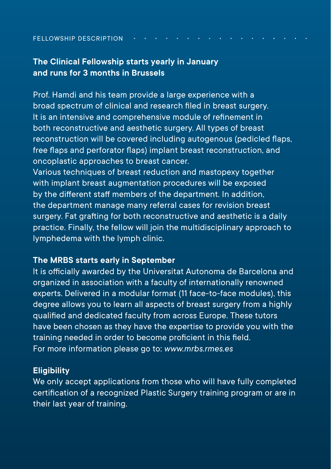#### FELLOWSHIP DESCRIPTION

# **The Clinical Fellowship starts yearly in January and runs for 3 months in Brussels**

Prof. Hamdi and his team provide a large experience with a broad spectrum of clinical and research filed in breast surgery. lt is an intensive and comprehensive module of refinement in both reconstructive and aesthetic surgery. All types of breast reconstruction will be covered including autogenous (pedicled flaps, free flaps and perforator flaps) implant breast reconstruction, and oncoplastic approaches to breast cancer.

Various techniques of breast reduction and mastopexy together with implant breast augmentation procedures will be exposed by the different staff members of the department. In addition, the department manage many referral cases for revision breast surgery. Fat grafting for both reconstructive and aesthetic is a daily practice. Finally, the fellow will join the multidisciplinary approach to lymphedema with the lymph clinic.

## **The MRBS starts early in September**

lt is officially awarded by the Universitat Autonoma de Barcelona and organized in association with a faculty of internationally renowned experts. Delivered in a modular format (11 face-to-face modules), this degree allows you to learn all aspects of breast surgery from a highly qualified and dedicated faculty from across Europe. These tutors have been chosen as they have the expertise to provide you with the training needed in order to become proficient in this field. For more information please go to: *www.mrbs.rmes.es*

## **Eligibility**

We only accept applications from those who will have fully completed certification of a recognized Plastic Surgery training program or are in their last year of training.